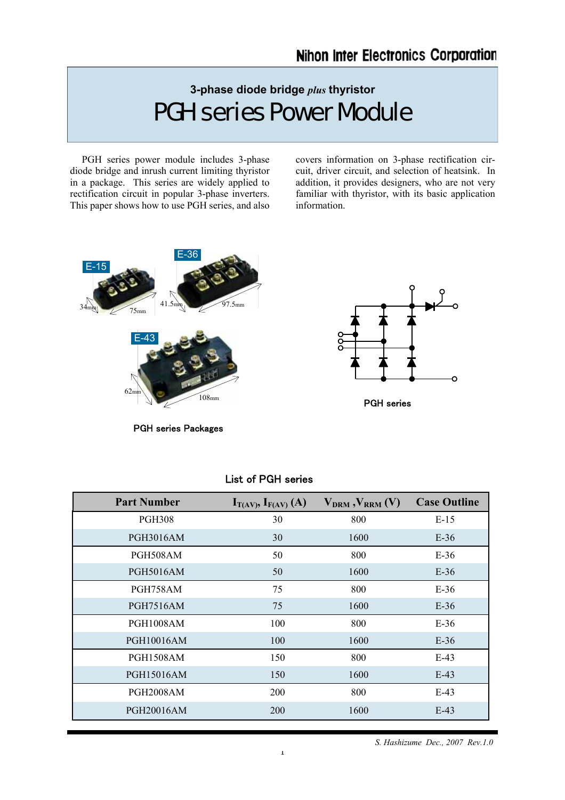# **3-phase diode bridge** *plus* **thyristor**  PGH series Power Module

 PGH series power module includes 3-phase diode bridge and inrush current limiting thyristor in a package. This series are widely applied to rectification circuit in popular 3-phase inverters. This paper shows how to use PGH series, and also covers information on 3-phase rectification circuit, driver circuit, and selection of heatsink. In addition, it provides designers, who are not very familiar with thyristor, with its basic application information.



PGH series Packages

| <b>Part Number</b> | $I_{T(AV)}$ , $I_{F(AV)}(A)$ | $V_{DRM}$ , $V_{RRM}$ (V) | <b>Case Outline</b> |
|--------------------|------------------------------|---------------------------|---------------------|
| <b>PGH308</b>      | 30                           | 800                       | $E-15$              |
| <b>PGH3016AM</b>   | 30                           | 1600                      | $E-36$              |
| PGH508AM           | 50                           | 800                       | $E-36$              |
| <b>PGH5016AM</b>   | 50                           | 1600                      | $E-36$              |
| PGH758AM           | 75                           | 800                       | $E-36$              |
| <b>PGH7516AM</b>   | 75                           | 1600                      | $E-36$              |
| <b>PGH1008AM</b>   | 100                          | 800                       | $E-36$              |
| <b>PGH10016AM</b>  | 100                          | 1600                      | $E-36$              |
| <b>PGH1508AM</b>   | 150                          | 800                       | $E-43$              |
| <b>PGH15016AM</b>  | 150                          | 1600                      | $E-43$              |
| <b>PGH2008AM</b>   | <b>200</b>                   | 800                       | $E-43$              |
| PGH20016AM         | 200                          | 1600                      | $E-43$              |

# List of PGH series

 *S. Hashizume Dec., 2007 Rev.1.0*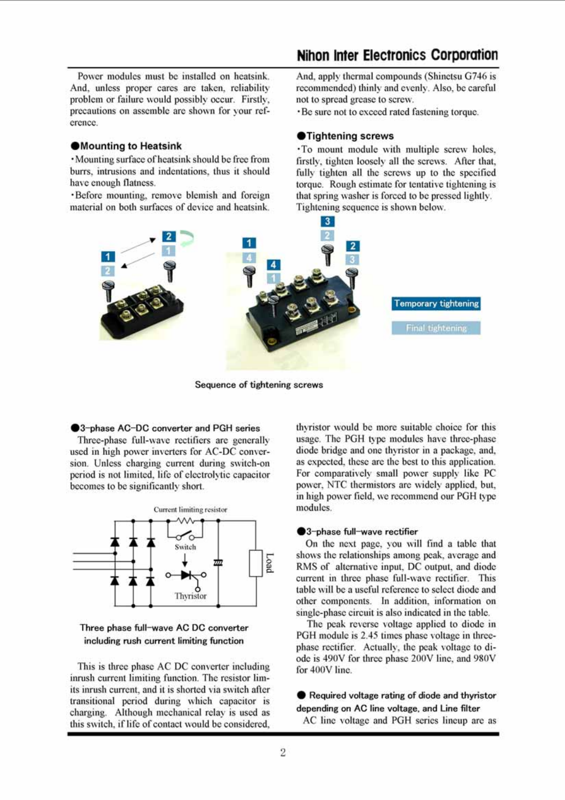Power modules must be installed on heatsink. And, unless proper cares are taken, reliability problem or failure would possibly occur. Firstly, precautions on assemble are shown for your reference.

#### **Mounting to Heatsink**

· Mounting surface of heatsink should be free from burrs, intrusions and indentations, thus it should have enough flatness.

·Before mounting, remove blemish and foreign material on both surfaces of device and heatsink.

# **Nihon Inter Electronics Corporation**

And, apply thermal compounds (Shinetsu G746 is recommended) thinly and evenly. Also, be careful not to spread grease to screw.

• Be sure not to exceed rated fastening torque.

#### **O**Tightening screws

· To mount module with multiple screw holes, firstly, tighten loosely all the screws. After that, fully tighten all the screws up to the specified torque. Rough estimate for tentative tightening is that spring washer is forced to be pressed lightly. Tightening sequence is shown below.



Sequence of tightening screws

#### ●3-phase AC-DC converter and PGH series

Three-phase full-wave rectifiers are generally used in high power inverters for AC-DC conversion. Unless charging current during switch-on period is not limited, life of electrolytic capacitor becomes to be significantly short.





This is three phase AC DC converter including inrush current limiting function. The resistor limits inrush current, and it is shorted via switch after transitional period during which capacitor is charging. Although mechanical relay is used as this switch, if life of contact would be considered.

thyristor would be more suitable choice for this usage. The PGH type modules have three-phase diode bridge and one thyristor in a package, and, as expected, these are the best to this application. For comparatively small power supply like PC power, NTC thermistors are widely applied, but, in high power field, we recommend our PGH type modules

#### ●3-phase full-wave rectifier

On the next page, you will find a table that shows the relationships among peak, average and RMS of alternative input, DC output, and diode current in three phase full-wave rectifier. This table will be a useful reference to select diode and other components. In addition, information on single-phase circuit is also indicated in the table.

The peak reverse voltage applied to diode in PGH module is 2.45 times phase voltage in threephase rectifier. Actually, the peak voltage to diode is 490V for three phase 200V line, and 980V for 400V line.

Required voltage rating of diode and thyristor depending on AC line voltage, and Line filter AC line voltage and PGH series lineup are as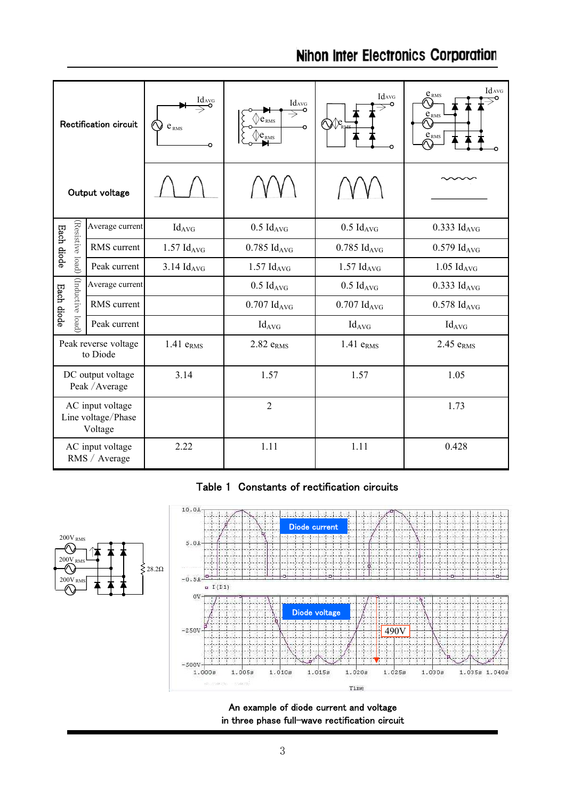|                                                   | Rectification circuit             | $\underline{\mathop{\hbox{\rm Id}}\nolimits_{AVG}}$<br>$\circlearrowright$<br>$e_\mathrm{\scriptscriptstyle RMS}$<br>∩ | IdavG<br>۰<br>e <sub>RMS</sub><br>RMS | Idavg<br>©∕ ⁄⊘            | IdavG<br>e <sub>RMS</sub><br>$\mathbb{O}$<br>$\underline{e}_{\text{RMS}}$<br>᠗<br>$\underline{e}_{\text{RMS}}$ |
|---------------------------------------------------|-----------------------------------|------------------------------------------------------------------------------------------------------------------------|---------------------------------------|---------------------------|----------------------------------------------------------------------------------------------------------------|
|                                                   | Output voltage                    |                                                                                                                        |                                       |                           |                                                                                                                |
|                                                   | Average current                   | $Id_{AVG}$                                                                                                             | $0.5$ Id <sub>AVG</sub>               | $0.5$ Id <sub>AVG</sub>   | $0.333$ Id <sub>AVG</sub>                                                                                      |
| (Resistive load)<br>Each diode                    | RMS current                       | $1.57$ $Id_{AVG}$                                                                                                      | $0.785$ Id <sub>AVG</sub>             | $0.785$ Id <sub>AVG</sub> | $0.579$ Id <sub>AVG</sub>                                                                                      |
|                                                   | Peak current                      | $3.14$ $Id_{AVG}$                                                                                                      | $1.57$ $Id_{AVG}$                     | $1.57$ $Id_{AVG}$         | $1.05$ $Id_{AVG}$                                                                                              |
| (Inductive load<br>Each diode                     | Average current                   |                                                                                                                        | $0.5$ Id <sub>AVG</sub>               | $0.5$ Id <sub>AVG</sub>   | $0.333$ Id <sub>AVG</sub>                                                                                      |
|                                                   | RMS current                       |                                                                                                                        | $0.707$ $Id_{AVG}$                    | $0.707$ $Id_{AVG}$        | $0.578$ Id <sub>AVG</sub>                                                                                      |
|                                                   | Peak current                      |                                                                                                                        | $Id_{AVG}$                            | $Id_{AVG}$                | $Id_{AVG}$                                                                                                     |
|                                                   | Peak reverse voltage<br>to Diode  | $1.41$ $eRMS$                                                                                                          | $2.82$ $eRMS$                         | $1.41$ $eRMS$             | $2.45$ $eRMS$                                                                                                  |
| DC output voltage<br>Peak / Average               |                                   | 3.14                                                                                                                   | 1.57                                  | 1.57                      | 1.05                                                                                                           |
| AC input voltage<br>Line voltage/Phase<br>Voltage |                                   |                                                                                                                        | $\overline{2}$                        |                           | 1.73                                                                                                           |
|                                                   | AC input voltage<br>RMS / Average | 2.22                                                                                                                   | 1.11                                  | 1.11                      | 0.428                                                                                                          |

# Table 1 Constants of rectification circuits



An example of diode current and voltage in three phase full-wave rectification circuit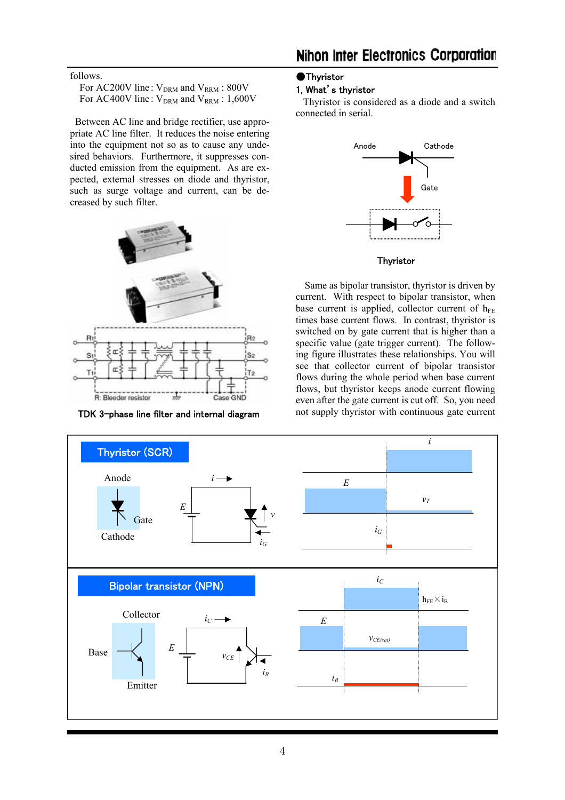## follows.

| For AC200V line: $V_{DRM}$ and $V_{RRM}$ : 800V   |  |
|---------------------------------------------------|--|
| For AC400V line: $V_{DRM}$ and $V_{RRM}$ : 1,600V |  |

 Between AC line and bridge rectifier, use appropriate AC line filter. It reduces the noise entering into the equipment not so as to cause any undesired behaviors. Furthermore, it suppresses conducted emission from the equipment. As are expected, external stresses on diode and thyristor, such as surge voltage and current, can be decreased by such filter.



#### ●Thyristor

# 1, What's thyristor

 Thyristor is considered as a diode and a switch connected in serial.



#### **Thyristor**

Same as bipolar transistor, thyristor is driven by current. With respect to bipolar transistor, when base current is applied, collector current of  $h_{FE}$ times base current flows. In contrast, thyristor is switched on by gate current that is higher than a specific value (gate trigger current). The following figure illustrates these relationships. You will see that collector current of bipolar transistor flows during the whole period when base current flows, but thyristor keeps anode current flowing even after the gate current is cut off. So, you need TDK 3-phase line filter and internal diagram not supply thyristor with continuous gate current

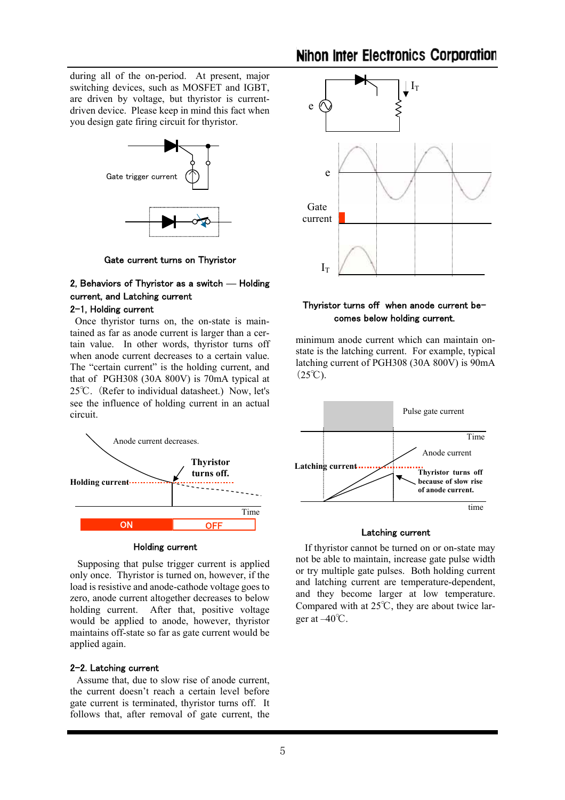during all of the on-period. At present, major switching devices, such as MOSFET and IGBT, are driven by voltage, but thyristor is currentdriven device. Please keep in mind this fact when you design gate firing circuit for thyristor.



Gate current turns on Thyristor

# 2, Behaviors of Thyristor as a switch **—** Holding current, and Latching current

# 2-1, Holding current

 Once thyristor turns on, the on-state is maintained as far as anode current is larger than a certain value. In other words, thyristor turns off when anode current decreases to a certain value. The "certain current" is the holding current, and that of PGH308 (30A 800V) is 70mA typical at 25℃. (Refer to individual datasheet.) Now, let's see the influence of holding current in an actual circuit.



#### Holding current

 Supposing that pulse trigger current is applied only once. Thyristor is turned on, however, if the load is resistive and anode-cathode voltage goes to zero, anode current altogether decreases to below holding current. After that, positive voltage would be applied to anode, however, thyristor maintains off-state so far as gate current would be applied again.

#### 2-2. Latching current

Assume that, due to slow rise of anode current, the current doesn't reach a certain level before gate current is terminated, thyristor turns off. It follows that, after removal of gate current, the



## Thyristor turns off when anode current becomes below holding current.

minimum anode current which can maintain onstate is the latching current. For example, typical latching current of PGH308 (30A 800V) is 90mA  $(25^{\circ}\text{C})$ .



#### Latching current

If thyristor cannot be turned on or on-state may not be able to maintain, increase gate pulse width or try multiple gate pulses. Both holding current and latching current are temperature-dependent, and they become larger at low temperature. Compared with at 25℃, they are about twice larger at –40℃.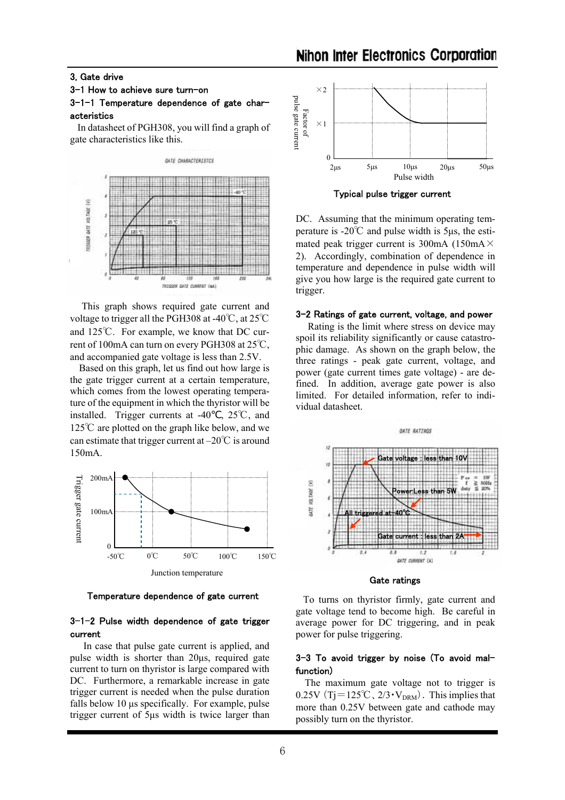#### 3, Gate drive

## 3-1 How to achieve sure turn-on

#### 3-1-1 Temperature dependence of gate characteristics

 In datasheet of PGH308, you will find a graph of gate characteristics like this.



 This graph shows required gate current and voltage to trigger all the PGH308 at -40℃, at 25℃ and 125℃. For example, we know that DC current of 100mA can turn on every PGH308 at 25℃, and accompanied gate voltage is less than 2.5V.

 Based on this graph, let us find out how large is the gate trigger current at a certain temperature, which comes from the lowest operating temperature of the equipment in which the thyristor will be installed. Trigger currents at -40 ,  $25^{\circ}$ C, and 125℃ are plotted on the graph like below, and we can estimate that trigger current at –20℃ is around 150mA.



Temperature dependence of gate current

## 3-1-2 Pulse width dependence of gate trigger current

 In case that pulse gate current is applied, and pulse width is shorter than 20µs, required gate current to turn on thyristor is large compared with DC. Furthermore, a remarkable increase in gate trigger current is needed when the pulse duration falls below 10 us specifically. For example, pulse trigger current of 5µs width is twice larger than



Typical pulse trigger current

DC. Assuming that the minimum operating temperature is -20℃ and pulse width is 5µs, the estimated peak trigger current is 300mA (150mA $\times$ 2). Accordingly, combination of dependence in temperature and dependence in pulse width will give you how large is the required gate current to trigger.

#### 3-2 Ratings of gate current, voltage, and power

 Rating is the limit where stress on device may spoil its reliability significantly or cause catastrophic damage. As shown on the graph below, the three ratings - peak gate current, voltage, and power (gate current times gate voltage) - are defined. In addition, average gate power is also limited. For detailed information, refer to individual datasheet.



Gate ratings

 To turns on thyristor firmly, gate current and gate voltage tend to become high. Be careful in average power for DC triggering, and in peak power for pulse triggering.

## 3-3 To avoid trigger by noise (To avoid malfunction)

The maximum gate voltage not to trigger is 0.25V (Tj=125°C,  $2/3 \cdot V_{DRM}$ ). This implies that more than 0.25V between gate and cathode may possibly turn on the thyristor.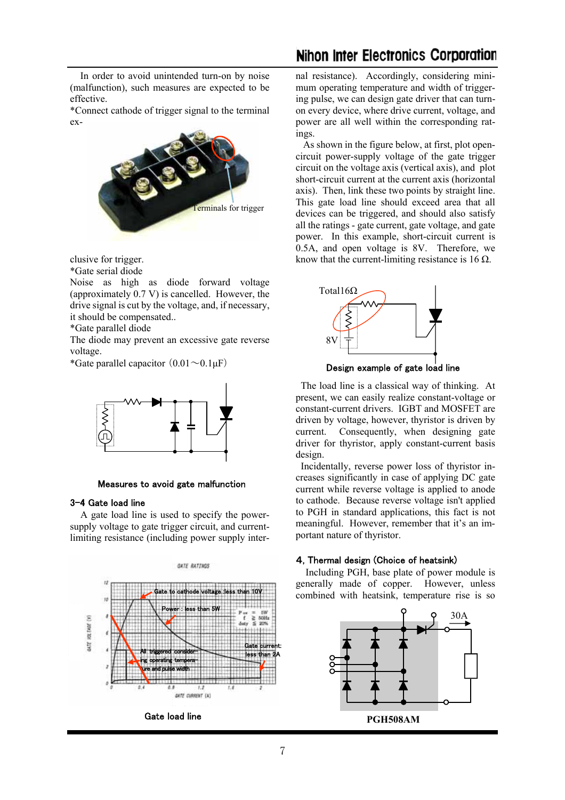In order to avoid unintended turn-on by noise (malfunction), such measures are expected to be effective.

\*Connect cathode of trigger signal to the terminal ex-



clusive for trigger.

\*Gate serial diode

Noise as high as diode forward voltage (approximately 0.7 V) is cancelled. However, the drive signal is cut by the voltage, and, if necessary, it should be compensated..

\*Gate parallel diode

The diode may prevent an excessive gate reverse voltage.

\*Gate parallel capacitor  $(0.01 \sim 0.1 \mu F)$ 



Measures to avoid gate malfunction

#### 3-4 Gate load line

 A gate load line is used to specify the powersupply voltage to gate trigger circuit, and currentlimiting resistance (including power supply inter-



nal resistance). Accordingly, considering minimum operating temperature and width of triggering pulse, we can design gate driver that can turnon every device, where drive current, voltage, and power are all well within the corresponding ratings.

 As shown in the figure below, at first, plot opencircuit power-supply voltage of the gate trigger circuit on the voltage axis (vertical axis), and plot short-circuit current at the current axis (horizontal axis). Then, link these two points by straight line. This gate load line should exceed area that all devices can be triggered, and should also satisfy all the ratings - gate current, gate voltage, and gate power. In this example, short-circuit current is 0.5A, and open voltage is 8V. Therefore, we know that the current-limiting resistance is 16  $\Omega$ .



Design example of gate load line

 The load line is a classical way of thinking. At present, we can easily realize constant-voltage or constant-current drivers. IGBT and MOSFET are driven by voltage, however, thyristor is driven by current. Consequently, when designing gate driver for thyristor, apply constant-current basis design.

 Incidentally, reverse power loss of thyristor increases significantly in case of applying DC gate current while reverse voltage is applied to anode to cathode. Because reverse voltage isn't applied to PGH in standard applications, this fact is not meaningful. However, remember that it's an important nature of thyristor.

#### 4, Thermal design (Choice of heatsink)

 Including PGH, base plate of power module is generally made of copper. However, unless combined with heatsink, temperature rise is so

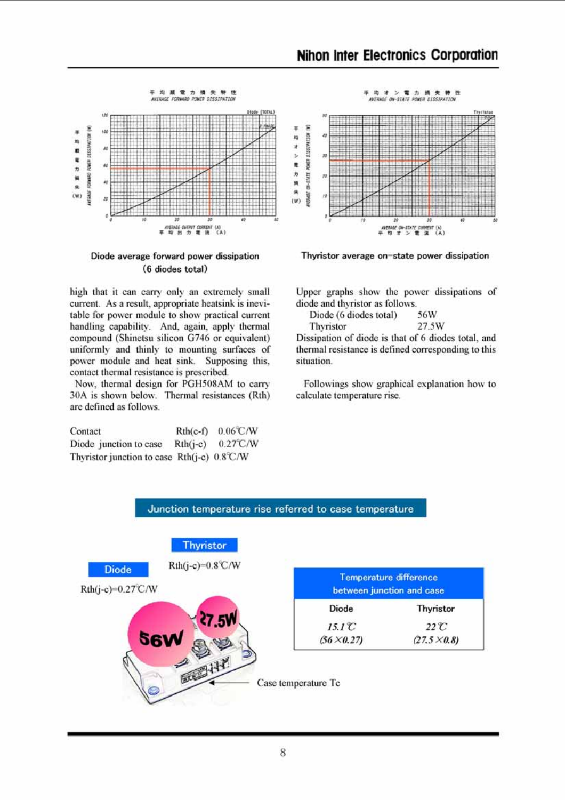

Diode average forward power dissipation (6 diodes total)

high that it can carry only an extremely small current. As a result, appropriate heatsink is inevitable for power module to show practical current handling capability. And, again, apply thermal compound (Shinetsu silicon G746 or equivalent) uniformly and thinly to mounting surfaces of power module and heat sink. Supposing this, contact thermal resistance is prescribed.

Now, thermal design for PGH508AM to carry 30A is shown below. Thermal resistances (Rth) are defined as follows.

| Contact                                       | $Rth(c-f)$ | $0.06$ C/W         |
|-----------------------------------------------|------------|--------------------|
| Diode junction to case                        | $Rth(i-c)$ | $0.27^{\circ}$ C/W |
| Thyristor junction to case $Rth(i-c)$ 0.8°C/W |            |                    |





Thyristor average on-state power dissipation

Upper graphs show the power dissipations of diode and thyristor as follows.

56W Diode (6 diodes total) 27.5W Thyristor

Dissipation of diode is that of 6 diodes total, and thermal resistance is defined corresponding to this situation.

Followings show graphical explanation how to calculate temperature rise.



# Junction temperature rise referred to case temperature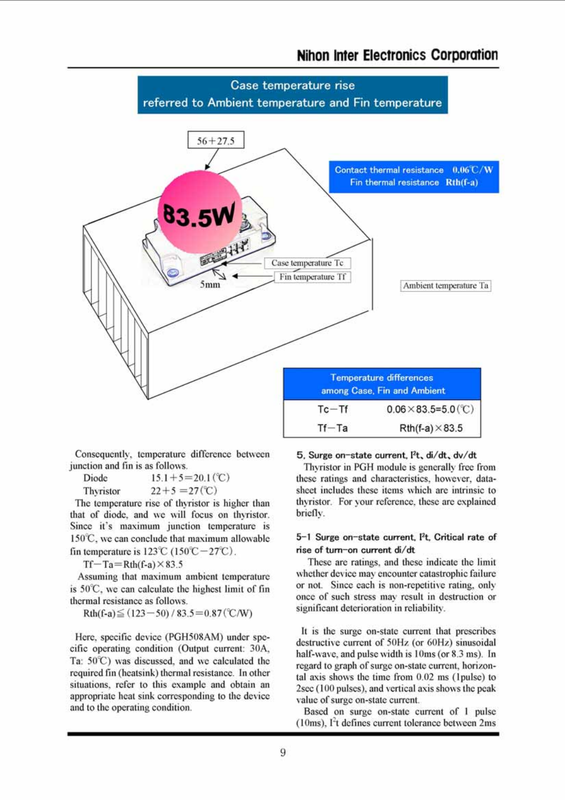

Consequently, temperature difference between junction and fin is as follows.

Diode  $15.1 + 5 = 20.1$  (°C)  $22+5=27$  (°C) Thyristor

The temperature rise of thyristor is higher than that of diode, and we will focus on thyristor. Since it's maximum junction temperature is 150°C, we can conclude that maximum allowable fin temperature is  $123^{\circ}\text{C}$  (150°C  $-27^{\circ}\text{C}$ ).

 $Tf - Ta = Rth(f-a) \times 83.5$ 

Assuming that maximum ambient temperature is 50°C, we can calculate the highest limit of fin thermal resistance as follows.

Rth(f-a) $\leq$  (123-50) / 83.5=0.87 (°C/W)

Here, specific device (PGH508AM) under specific operating condition (Output current: 30A, Ta: 50°C) was discussed, and we calculated the required fin (heatsink) thermal resistance. In other situations, refer to this example and obtain an appropriate heat sink corresponding to the device and to the operating condition.

5. Surge on-state current. I<sup>2</sup>t, di/dt, dv/dt

Thyristor in PGH module is generally free from these ratings and characteristics, however, datasheet includes these items which are intrinsic to thyristor. For your reference, these are explained briefly.

## 5-1 Surge on-state current, I<sup>2</sup>t, Critical rate of rise of turn-on current di/dt

These are ratings, and these indicate the limit whether device may encounter catastrophic failure or not. Since each is non-repetitive rating, only once of such stress may result in destruction or significant deterioration in reliability.

It is the surge on-state current that prescribes destructive current of 50Hz (or 60Hz) sinusoidal half-wave, and pulse width is 10ms (or 8.3 ms). In regard to graph of surge on-state current, horizontal axis shows the time from 0.02 ms (1pulse) to 2sec (100 pulses), and vertical axis shows the peak value of surge on-state current.

Based on surge on-state current of 1 pulse  $(10ms)$ . I<sup>2</sup>t defines current tolerance between  $2ms$